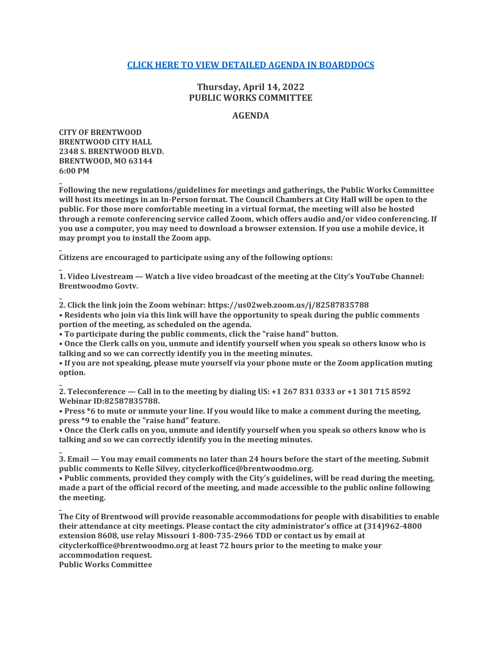## **[CLICK HERE TO VIEW DETAILED AGENDA IN BOARDDOCS](http://go.boarddocs.com/mo/cob/Board.nsf/goto?open&id=CBJ4CX0AF889)**

# **Thursday, April 14, 2022 PUBLIC WORKS COMMITTEE**

## **AGENDA**

**CITY OF BRENTWOOD BRENTWOOD CITY HALL 2348 S. BRENTWOOD BLVD. BRENTWOOD, MO 63144 6:00 PM**

**\_**

**\_**

**\_**

**Following the new regulations/guidelines for meetings and gatherings, the Public Works Committee will host its meetings in an In-Person format. The Council Chambers at City Hall will be open to the public. For those more comfortable meeting in a virtual format, the meeting will also be hosted through a remote conferencing service called Zoom, which offers audio and/or video conferencing. If you use a computer, you may need to download a browser extension. If you use a mobile device, it may prompt you to install the Zoom app.**

**Citizens are encouraged to participate using any of the following options:**

**\_ 1. Video Livestream — Watch a live video broadcast of the meeting at the City's YouTube Channel: Brentwoodmo Govtv.**

**\_ 2. Click the link join the Zoom webinar: https://us02web.zoom.us/j/82587835788**

**• Residents who join via this link will have the opportunity to speak during the public comments portion of the meeting, as scheduled on the agenda.**

**• To participate during the public comments, click the "raise hand" button.**

**• Once the Clerk calls on you, unmute and identify yourself when you speak so others know who is talking and so we can correctly identify you in the meeting minutes.**

**• If you are not speaking, please mute yourself via your phone mute or the Zoom application muting option.**

**2. Teleconference — Call in to the meeting by dialing US: +1 267 831 0333 or +1 301 715 8592 Webinar ID:82587835788.**

**• Press \*6 to mute or unmute your line. If you would like to make a comment during the meeting, press \*9 to enable the "raise hand" feature.**

**• Once the Clerk calls on you, unmute and identify yourself when you speak so others know who is talking and so we can correctly identify you in the meeting minutes.**

**\_ 3. Email — You may email comments no later than 24 hours before the start of the meeting. Submit public comments to Kelle Silvey, cityclerkoffice@brentwoodmo.org.**

**• Public comments, provided they comply with the City's guidelines, will be read during the meeting, made a part of the official record of the meeting, and made accessible to the public online following the meeting.**

**\_ The City of Brentwood will provide reasonable accommodations for people with disabilities to enable their attendance at city meetings. Please contact the city administrator's office at (314)962-4800 extension 8608, use relay Missouri 1-800-735-2966 TDD or contact us by email at cityclerkoffice@brentwoodmo.org at least 72 hours prior to the meeting to make your accommodation request. Public Works Committee**